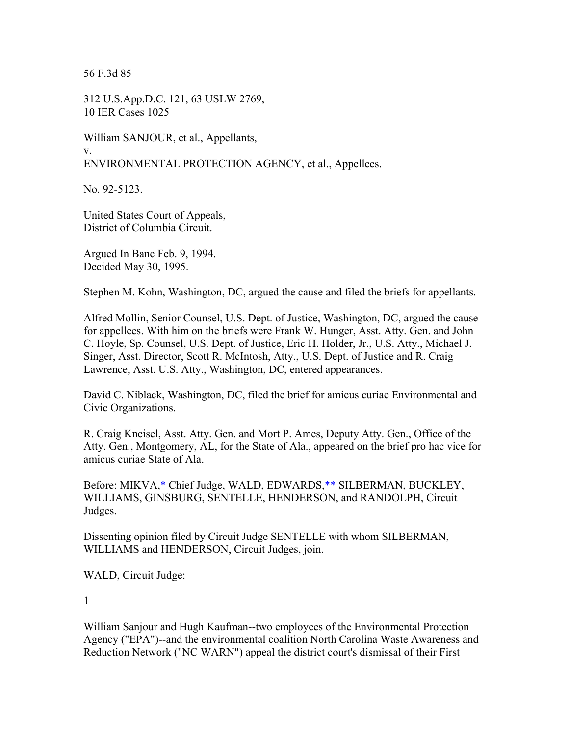56 F.3d 85

312 U.S.App.D.C. 121, 63 USLW 2769, 10 IER Cases 1025

William SANJOUR, et al., Appellants, v. ENVIRONMENTAL PROTECTION AGENCY, et al., Appellees.

No. 92-5123.

United States Court of Appeals, District of Columbia Circuit.

Argued In Banc Feb. 9, 1994. Decided May 30, 1995.

Stephen M. Kohn, Washington, DC, argued the cause and filed the briefs for appellants.

Alfred Mollin, Senior Counsel, U.S. Dept. of Justice, Washington, DC, argued the cause for appellees. With him on the briefs were Frank W. Hunger, Asst. Atty. Gen. and John C. Hoyle, Sp. Counsel, U.S. Dept. of Justice, Eric H. Holder, Jr., U.S. Atty., Michael J. Singer, Asst. Director, Scott R. McIntosh, Atty., U.S. Dept. of Justice and R. Craig Lawrence, Asst. U.S. Atty., Washington, DC, entered appearances.

David C. Niblack, Washington, DC, filed the brief for amicus curiae Environmental and Civic Organizations.

R. Craig Kneisel, Asst. Atty. Gen. and Mort P. Ames, Deputy Atty. Gen., Office of the Atty. Gen., Montgomery, AL, for the State of Ala., appeared on the brief pro hac vice for amicus curiae State of Ala.

Before: MIKVA,\* Chief Judge, WALD, EDWARDS,\*\* SILBERMAN, BUCKLEY, WILLIAMS, GINSBURG, SENTELLE, HENDERSON, and RANDOLPH, Circuit Judges.

Dissenting opinion filed by Circuit Judge SENTELLE with whom SILBERMAN, WILLIAMS and HENDERSON, Circuit Judges, join.

WALD, Circuit Judge:

1

William Sanjour and Hugh Kaufman--two employees of the Environmental Protection Agency ("EPA")--and the environmental coalition North Carolina Waste Awareness and Reduction Network ("NC WARN") appeal the district court's dismissal of their First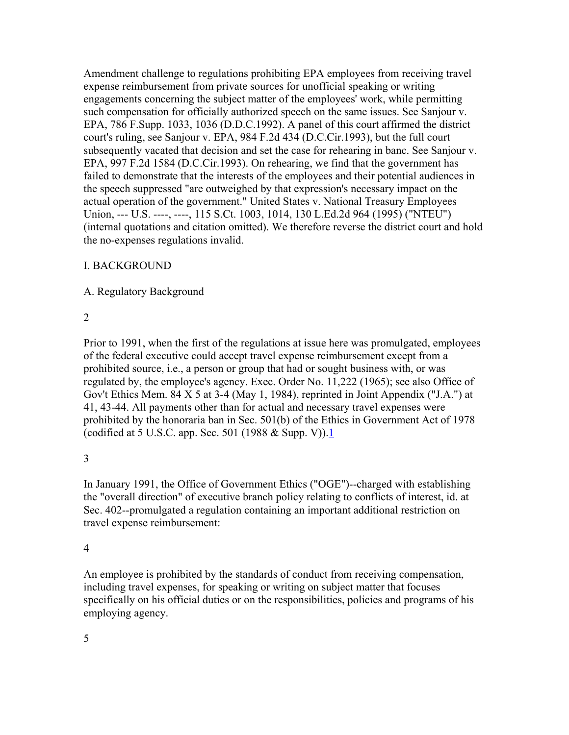Amendment challenge to regulations prohibiting EPA employees from receiving travel expense reimbursement from private sources for unofficial speaking or writing engagements concerning the subject matter of the employees' work, while permitting such compensation for officially authorized speech on the same issues. See Sanjour v. EPA, 786 F.Supp. 1033, 1036 (D.D.C.1992). A panel of this court affirmed the district court's ruling, see Sanjour v. EPA, 984 F.2d 434 (D.C.Cir.1993), but the full court subsequently vacated that decision and set the case for rehearing in banc. See Sanjour v. EPA, 997 F.2d 1584 (D.C.Cir.1993). On rehearing, we find that the government has failed to demonstrate that the interests of the employees and their potential audiences in the speech suppressed "are outweighed by that expression's necessary impact on the actual operation of the government." United States v. National Treasury Employees Union, --- U.S. ----, ----, 115 S.Ct. 1003, 1014, 130 L.Ed.2d 964 (1995) ("NTEU") (internal quotations and citation omitted). We therefore reverse the district court and hold the no-expenses regulations invalid.

## I. BACKGROUND

### A. Regulatory Background

### 2

Prior to 1991, when the first of the regulations at issue here was promulgated, employees of the federal executive could accept travel expense reimbursement except from a prohibited source, i.e., a person or group that had or sought business with, or was regulated by, the employee's agency. Exec. Order No. 11,222 (1965); see also Office of Gov't Ethics Mem. 84 X 5 at 3-4 (May 1, 1984), reprinted in Joint Appendix ("J.A.") at 41, 43-44. All payments other than for actual and necessary travel expenses were prohibited by the honoraria ban in Sec. 501(b) of the Ethics in Government Act of 1978 (codified at 5 U.S.C. app. Sec. 501 (1988  $&$  Supp. V)).1

## 3

In January 1991, the Office of Government Ethics ("OGE")--charged with establishing the "overall direction" of executive branch policy relating to conflicts of interest, id. at Sec. 402--promulgated a regulation containing an important additional restriction on travel expense reimbursement:

## 4

An employee is prohibited by the standards of conduct from receiving compensation, including travel expenses, for speaking or writing on subject matter that focuses specifically on his official duties or on the responsibilities, policies and programs of his employing agency.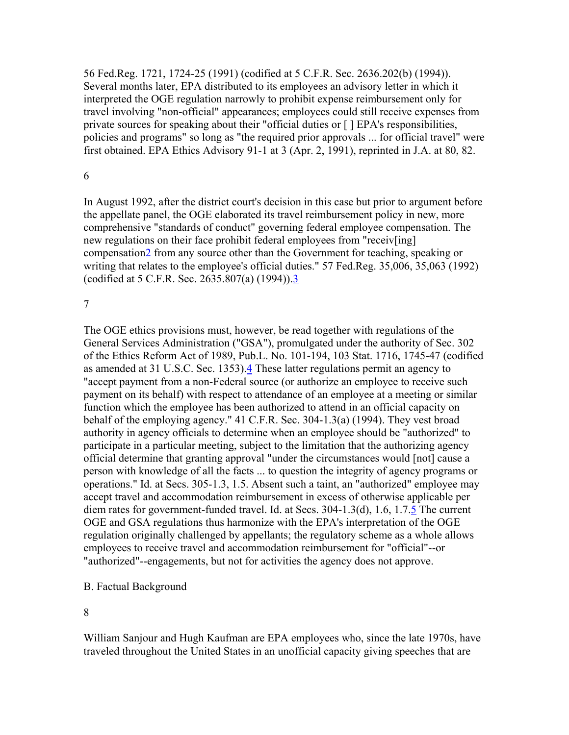56 Fed.Reg. 1721, 1724-25 (1991) (codified at 5 C.F.R. Sec. 2636.202(b) (1994)). Several months later, EPA distributed to its employees an advisory letter in which it interpreted the OGE regulation narrowly to prohibit expense reimbursement only for travel involving "non-official" appearances; employees could still receive expenses from private sources for speaking about their "official duties or [ ] EPA's responsibilities, policies and programs" so long as "the required prior approvals ... for official travel" were first obtained. EPA Ethics Advisory 91-1 at 3 (Apr. 2, 1991), reprinted in J.A. at 80, 82.

#### 6

In August 1992, after the district court's decision in this case but prior to argument before the appellate panel, the OGE elaborated its travel reimbursement policy in new, more comprehensive "standards of conduct" governing federal employee compensation. The new regulations on their face prohibit federal employees from "receiv[ing] compensation2 from any source other than the Government for teaching, speaking or writing that relates to the employee's official duties." 57 Fed.Reg. 35,006, 35,063 (1992) (codified at 5 C.F.R. Sec. 2635.807(a) (1994)).3

#### 7

The OGE ethics provisions must, however, be read together with regulations of the General Services Administration ("GSA"), promulgated under the authority of Sec. 302 of the Ethics Reform Act of 1989, Pub.L. No. 101-194, 103 Stat. 1716, 1745-47 (codified as amended at 31 U.S.C. Sec. 1353).4 These latter regulations permit an agency to "accept payment from a non-Federal source (or authorize an employee to receive such payment on its behalf) with respect to attendance of an employee at a meeting or similar function which the employee has been authorized to attend in an official capacity on behalf of the employing agency." 41 C.F.R. Sec. 304-1.3(a) (1994). They vest broad authority in agency officials to determine when an employee should be "authorized" to participate in a particular meeting, subject to the limitation that the authorizing agency official determine that granting approval "under the circumstances would [not] cause a person with knowledge of all the facts ... to question the integrity of agency programs or operations." Id. at Secs. 305-1.3, 1.5. Absent such a taint, an "authorized" employee may accept travel and accommodation reimbursement in excess of otherwise applicable per diem rates for government-funded travel. Id. at Secs. 304-1.3(d), 1.6, 1.7.5 The current OGE and GSA regulations thus harmonize with the EPA's interpretation of the OGE regulation originally challenged by appellants; the regulatory scheme as a whole allows employees to receive travel and accommodation reimbursement for "official"--or "authorized"--engagements, but not for activities the agency does not approve.

#### B. Factual Background

8

William Sanjour and Hugh Kaufman are EPA employees who, since the late 1970s, have traveled throughout the United States in an unofficial capacity giving speeches that are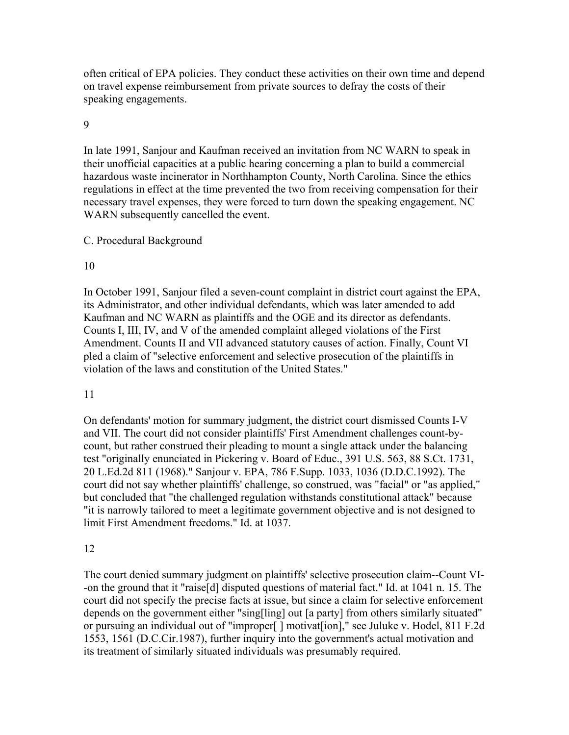often critical of EPA policies. They conduct these activities on their own time and depend on travel expense reimbursement from private sources to defray the costs of their speaking engagements.

### 9

In late 1991, Sanjour and Kaufman received an invitation from NC WARN to speak in their unofficial capacities at a public hearing concerning a plan to build a commercial hazardous waste incinerator in Northhampton County, North Carolina. Since the ethics regulations in effect at the time prevented the two from receiving compensation for their necessary travel expenses, they were forced to turn down the speaking engagement. NC WARN subsequently cancelled the event.

### C. Procedural Background

### 10

In October 1991, Sanjour filed a seven-count complaint in district court against the EPA, its Administrator, and other individual defendants, which was later amended to add Kaufman and NC WARN as plaintiffs and the OGE and its director as defendants. Counts I, III, IV, and V of the amended complaint alleged violations of the First Amendment. Counts II and VII advanced statutory causes of action. Finally, Count VI pled a claim of "selective enforcement and selective prosecution of the plaintiffs in violation of the laws and constitution of the United States."

#### 11

On defendants' motion for summary judgment, the district court dismissed Counts I-V and VII. The court did not consider plaintiffs' First Amendment challenges count-bycount, but rather construed their pleading to mount a single attack under the balancing test "originally enunciated in Pickering v. Board of Educ., 391 U.S. 563, 88 S.Ct. 1731, 20 L.Ed.2d 811 (1968)." Sanjour v. EPA, 786 F.Supp. 1033, 1036 (D.D.C.1992). The court did not say whether plaintiffs' challenge, so construed, was "facial" or "as applied," but concluded that "the challenged regulation withstands constitutional attack" because "it is narrowly tailored to meet a legitimate government objective and is not designed to limit First Amendment freedoms." Id. at 1037.

## 12

The court denied summary judgment on plaintiffs' selective prosecution claim--Count VI- -on the ground that it "raise[d] disputed questions of material fact." Id. at 1041 n. 15. The court did not specify the precise facts at issue, but since a claim for selective enforcement depends on the government either "sing[ling] out [a party] from others similarly situated" or pursuing an individual out of "improper[ ] motivat[ion]," see Juluke v. Hodel, 811 F.2d 1553, 1561 (D.C.Cir.1987), further inquiry into the government's actual motivation and its treatment of similarly situated individuals was presumably required.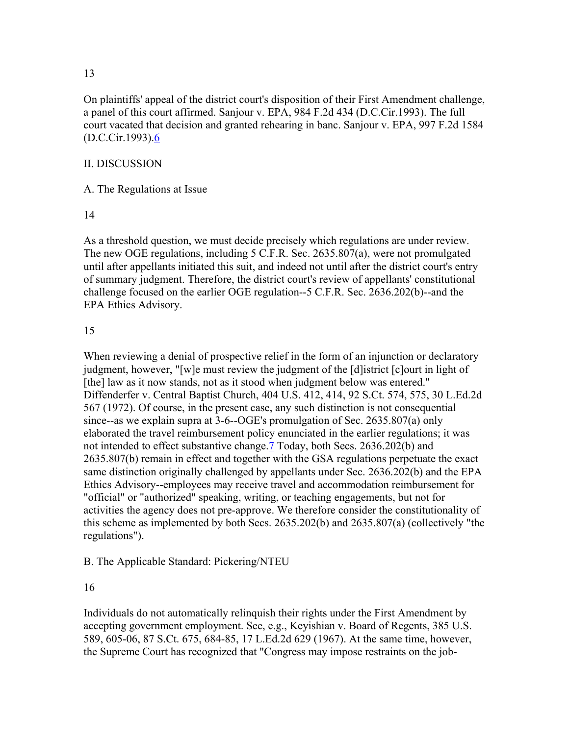On plaintiffs' appeal of the district court's disposition of their First Amendment challenge, a panel of this court affirmed. Sanjour v. EPA, 984 F.2d 434 (D.C.Cir.1993). The full court vacated that decision and granted rehearing in banc. Sanjour v. EPA, 997 F.2d 1584  $(D.C.Cir.1993).6$ 

#### II. DISCUSSION

A. The Regulations at Issue

#### 14

As a threshold question, we must decide precisely which regulations are under review. The new OGE regulations, including 5 C.F.R. Sec. 2635.807(a), were not promulgated until after appellants initiated this suit, and indeed not until after the district court's entry of summary judgment. Therefore, the district court's review of appellants' constitutional challenge focused on the earlier OGE regulation--5 C.F.R. Sec. 2636.202(b)--and the EPA Ethics Advisory.

#### 15

When reviewing a denial of prospective relief in the form of an injunction or declaratory judgment, however, "[w]e must review the judgment of the [d]istrict [c]ourt in light of [the] law as it now stands, not as it stood when judgment below was entered." Diffenderfer v. Central Baptist Church, 404 U.S. 412, 414, 92 S.Ct. 574, 575, 30 L.Ed.2d 567 (1972). Of course, in the present case, any such distinction is not consequential since--as we explain supra at 3-6--OGE's promulgation of Sec. 2635.807(a) only elaborated the travel reimbursement policy enunciated in the earlier regulations; it was not intended to effect substantive change.7 Today, both Secs. 2636.202(b) and 2635.807(b) remain in effect and together with the GSA regulations perpetuate the exact same distinction originally challenged by appellants under Sec. 2636.202(b) and the EPA Ethics Advisory--employees may receive travel and accommodation reimbursement for "official" or "authorized" speaking, writing, or teaching engagements, but not for activities the agency does not pre-approve. We therefore consider the constitutionality of this scheme as implemented by both Secs. 2635.202(b) and 2635.807(a) (collectively "the regulations").

B. The Applicable Standard: Pickering/NTEU

16

Individuals do not automatically relinquish their rights under the First Amendment by accepting government employment. See, e.g., Keyishian v. Board of Regents, 385 U.S. 589, 605-06, 87 S.Ct. 675, 684-85, 17 L.Ed.2d 629 (1967). At the same time, however, the Supreme Court has recognized that "Congress may impose restraints on the job-

#### 13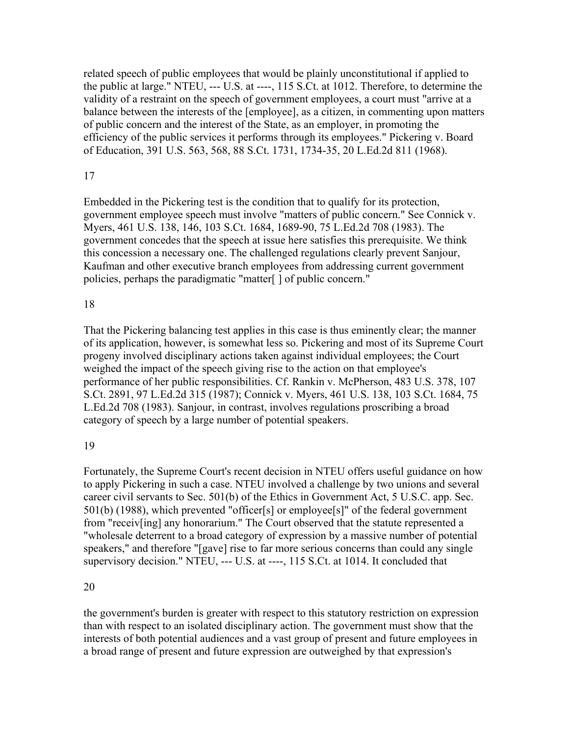related speech of public employees that would be plainly unconstitutional if applied to the public at large." NTEU, --- U.S. at ----, 115 S.Ct. at 1012. Therefore, to determine the validity of a restraint on the speech of government employees, a court must "arrive at a balance between the interests of the [employee], as a citizen, in commenting upon matters of public concern and the interest of the State, as an employer, in promoting the efficiency of the public services it performs through its employees." Pickering v. Board of Education, 391 U.S. 563, 568, 88 S.Ct. 1731, 1734-35, 20 L.Ed.2d 811 (1968).

### 17

Embedded in the Pickering test is the condition that to qualify for its protection, government employee speech must involve "matters of public concern." See Connick v. Myers, 461 U.S. 138, 146, 103 S.Ct. 1684, 1689-90, 75 L.Ed.2d 708 (1983). The government concedes that the speech at issue here satisfies this prerequisite. We think this concession a necessary one. The challenged regulations clearly prevent Sanjour, Kaufman and other executive branch employees from addressing current government policies, perhaps the paradigmatic "matter[ ] of public concern."

## 18

That the Pickering balancing test applies in this case is thus eminently clear; the manner of its application, however, is somewhat less so. Pickering and most of its Supreme Court progeny involved disciplinary actions taken against individual employees; the Court weighed the impact of the speech giving rise to the action on that employee's performance of her public responsibilities. Cf. Rankin v. McPherson, 483 U.S. 378, 107 S.Ct. 2891, 97 L.Ed.2d 315 (1987); Connick v. Myers, 461 U.S. 138, 103 S.Ct. 1684, 75 L.Ed.2d 708 (1983). Sanjour, in contrast, involves regulations proscribing a broad category of speech by a large number of potential speakers.

## 19

Fortunately, the Supreme Court's recent decision in NTEU offers useful guidance on how to apply Pickering in such a case. NTEU involved a challenge by two unions and several career civil servants to Sec. 501(b) of the Ethics in Government Act, 5 U.S.C. app. Sec. 501(b) (1988), which prevented "officer[s] or employee[s]" of the federal government from "receiv[ing] any honorarium." The Court observed that the statute represented a "wholesale deterrent to a broad category of expression by a massive number of potential speakers," and therefore "[gave] rise to far more serious concerns than could any single supervisory decision." NTEU, --- U.S. at ----, 115 S.Ct. at 1014. It concluded that

## 20

the government's burden is greater with respect to this statutory restriction on expression than with respect to an isolated disciplinary action. The government must show that the interests of both potential audiences and a vast group of present and future employees in a broad range of present and future expression are outweighed by that expression's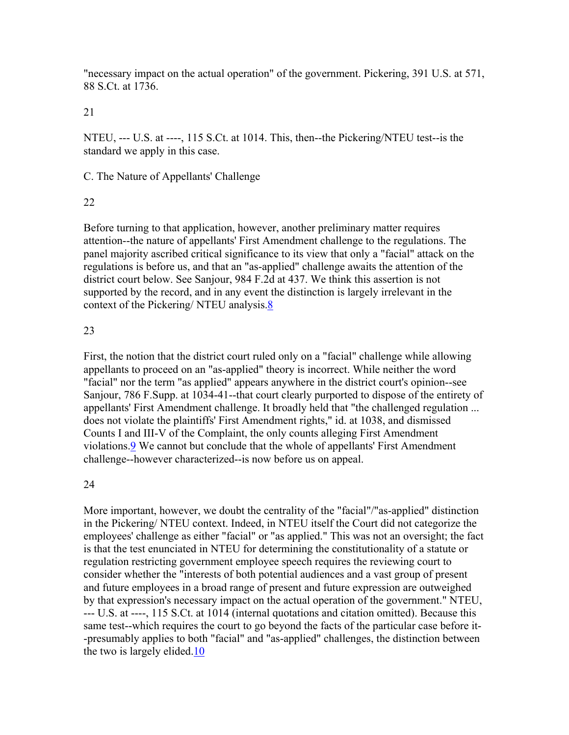"necessary impact on the actual operation" of the government. Pickering, 391 U.S. at 571, 88 S.Ct. at 1736.

21

NTEU, --- U.S. at ----, 115 S.Ct. at 1014. This, then--the Pickering/NTEU test--is the standard we apply in this case.

C. The Nature of Appellants' Challenge

22

Before turning to that application, however, another preliminary matter requires attention--the nature of appellants' First Amendment challenge to the regulations. The panel majority ascribed critical significance to its view that only a "facial" attack on the regulations is before us, and that an "as-applied" challenge awaits the attention of the district court below. See Sanjour, 984 F.2d at 437. We think this assertion is not supported by the record, and in any event the distinction is largely irrelevant in the context of the Pickering/ NTEU analysis.8

## 23

First, the notion that the district court ruled only on a "facial" challenge while allowing appellants to proceed on an "as-applied" theory is incorrect. While neither the word "facial" nor the term "as applied" appears anywhere in the district court's opinion--see Sanjour, 786 F.Supp. at 1034-41--that court clearly purported to dispose of the entirety of appellants' First Amendment challenge. It broadly held that "the challenged regulation ... does not violate the plaintiffs' First Amendment rights," id. at 1038, and dismissed Counts I and III-V of the Complaint, the only counts alleging First Amendment violations.9 We cannot but conclude that the whole of appellants' First Amendment challenge--however characterized--is now before us on appeal.

## 24

More important, however, we doubt the centrality of the "facial"/"as-applied" distinction in the Pickering/ NTEU context. Indeed, in NTEU itself the Court did not categorize the employees' challenge as either "facial" or "as applied." This was not an oversight; the fact is that the test enunciated in NTEU for determining the constitutionality of a statute or regulation restricting government employee speech requires the reviewing court to consider whether the "interests of both potential audiences and a vast group of present and future employees in a broad range of present and future expression are outweighed by that expression's necessary impact on the actual operation of the government." NTEU, --- U.S. at ----, 115 S.Ct. at 1014 (internal quotations and citation omitted). Because this same test--which requires the court to go beyond the facts of the particular case before it- -presumably applies to both "facial" and "as-applied" challenges, the distinction between the two is largely elided.10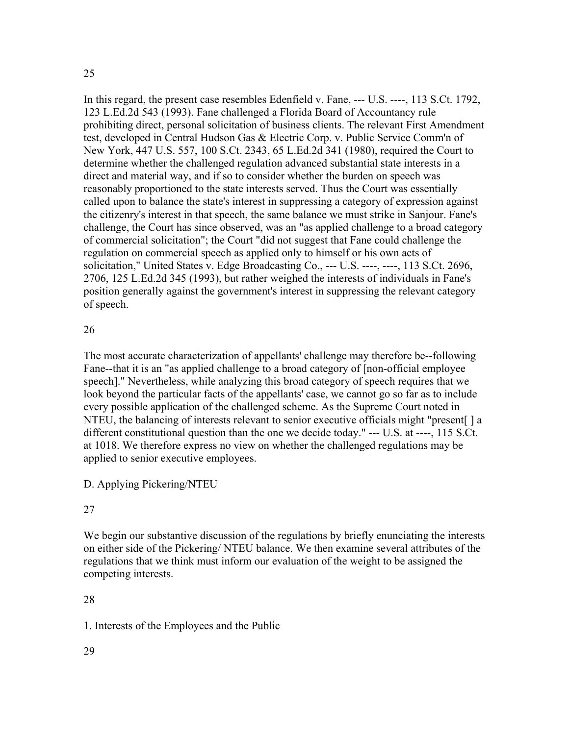## 25

In this regard, the present case resembles Edenfield v. Fane, --- U.S. ----, 113 S.Ct. 1792, 123 L.Ed.2d 543 (1993). Fane challenged a Florida Board of Accountancy rule prohibiting direct, personal solicitation of business clients. The relevant First Amendment test, developed in Central Hudson Gas & Electric Corp. v. Public Service Comm'n of New York, 447 U.S. 557, 100 S.Ct. 2343, 65 L.Ed.2d 341 (1980), required the Court to determine whether the challenged regulation advanced substantial state interests in a direct and material way, and if so to consider whether the burden on speech was reasonably proportioned to the state interests served. Thus the Court was essentially called upon to balance the state's interest in suppressing a category of expression against the citizenry's interest in that speech, the same balance we must strike in Sanjour. Fane's challenge, the Court has since observed, was an "as applied challenge to a broad category of commercial solicitation"; the Court "did not suggest that Fane could challenge the regulation on commercial speech as applied only to himself or his own acts of solicitation," United States v. Edge Broadcasting Co., --- U.S. ----, ----, 113 S.Ct. 2696, 2706, 125 L.Ed.2d 345 (1993), but rather weighed the interests of individuals in Fane's position generally against the government's interest in suppressing the relevant category of speech.

## 26

The most accurate characterization of appellants' challenge may therefore be--following Fane--that it is an "as applied challenge to a broad category of [non-official employee speech]." Nevertheless, while analyzing this broad category of speech requires that we look beyond the particular facts of the appellants' case, we cannot go so far as to include every possible application of the challenged scheme. As the Supreme Court noted in NTEU, the balancing of interests relevant to senior executive officials might "present[ ] a different constitutional question than the one we decide today." --- U.S. at ----, 115 S.Ct. at 1018. We therefore express no view on whether the challenged regulations may be applied to senior executive employees.

D. Applying Pickering/NTEU

## 27

We begin our substantive discussion of the regulations by briefly enunciating the interests on either side of the Pickering/ NTEU balance. We then examine several attributes of the regulations that we think must inform our evaluation of the weight to be assigned the competing interests.

## 28

1. Interests of the Employees and the Public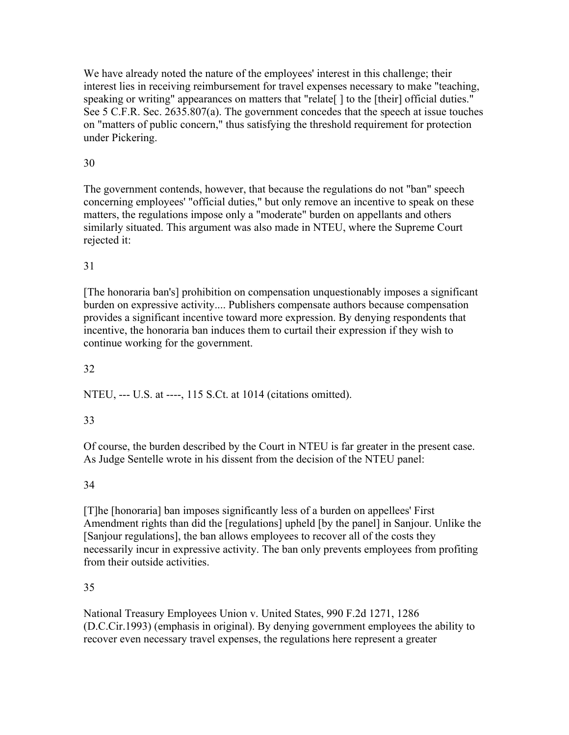We have already noted the nature of the employees' interest in this challenge; their interest lies in receiving reimbursement for travel expenses necessary to make "teaching, speaking or writing" appearances on matters that "relate | | to the [their] official duties." See 5 C.F.R. Sec. 2635.807(a). The government concedes that the speech at issue touches on "matters of public concern," thus satisfying the threshold requirement for protection under Pickering.

## 30

The government contends, however, that because the regulations do not "ban" speech concerning employees' "official duties," but only remove an incentive to speak on these matters, the regulations impose only a "moderate" burden on appellants and others similarly situated. This argument was also made in NTEU, where the Supreme Court rejected it:

## 31

[The honoraria ban's] prohibition on compensation unquestionably imposes a significant burden on expressive activity.... Publishers compensate authors because compensation provides a significant incentive toward more expression. By denying respondents that incentive, the honoraria ban induces them to curtail their expression if they wish to continue working for the government.

## 32

NTEU, --- U.S. at ----, 115 S.Ct. at 1014 (citations omitted).

## 33

Of course, the burden described by the Court in NTEU is far greater in the present case. As Judge Sentelle wrote in his dissent from the decision of the NTEU panel:

## 34

[T]he [honoraria] ban imposes significantly less of a burden on appellees' First Amendment rights than did the [regulations] upheld [by the panel] in Sanjour. Unlike the [Sanjour regulations], the ban allows employees to recover all of the costs they necessarily incur in expressive activity. The ban only prevents employees from profiting from their outside activities.

## 35

National Treasury Employees Union v. United States, 990 F.2d 1271, 1286 (D.C.Cir.1993) (emphasis in original). By denying government employees the ability to recover even necessary travel expenses, the regulations here represent a greater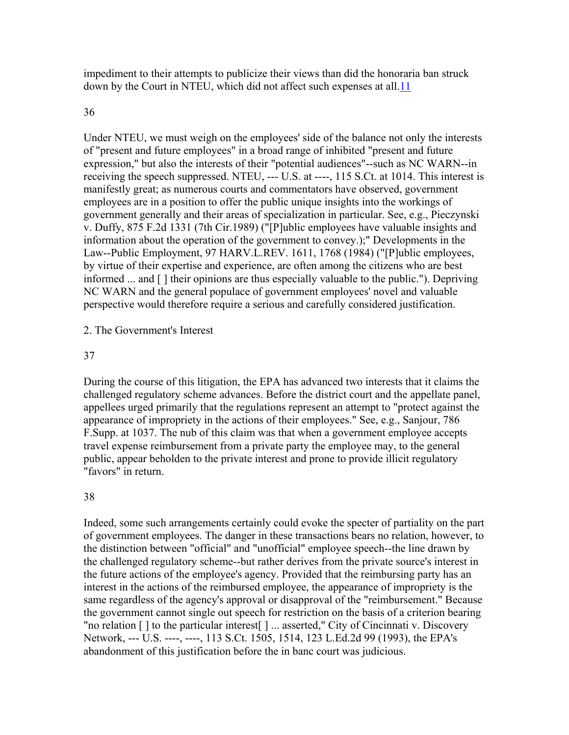impediment to their attempts to publicize their views than did the honoraria ban struck down by the Court in NTEU, which did not affect such expenses at all.11

#### 36

Under NTEU, we must weigh on the employees' side of the balance not only the interests of "present and future employees" in a broad range of inhibited "present and future expression," but also the interests of their "potential audiences"--such as NC WARN--in receiving the speech suppressed. NTEU, --- U.S. at ----, 115 S.Ct. at 1014. This interest is manifestly great; as numerous courts and commentators have observed, government employees are in a position to offer the public unique insights into the workings of government generally and their areas of specialization in particular. See, e.g., Pieczynski v. Duffy, 875 F.2d 1331 (7th Cir.1989) ("[P]ublic employees have valuable insights and information about the operation of the government to convey.);" Developments in the Law--Public Employment, 97 HARV.L.REV. 1611, 1768 (1984) ("[P]ublic employees, by virtue of their expertise and experience, are often among the citizens who are best informed ... and [ ] their opinions are thus especially valuable to the public."). Depriving NC WARN and the general populace of government employees' novel and valuable perspective would therefore require a serious and carefully considered justification.

#### 2. The Government's Interest

#### 37

During the course of this litigation, the EPA has advanced two interests that it claims the challenged regulatory scheme advances. Before the district court and the appellate panel, appellees urged primarily that the regulations represent an attempt to "protect against the appearance of impropriety in the actions of their employees." See, e.g., Sanjour, 786 F.Supp. at 1037. The nub of this claim was that when a government employee accepts travel expense reimbursement from a private party the employee may, to the general public, appear beholden to the private interest and prone to provide illicit regulatory "favors" in return.

#### 38

Indeed, some such arrangements certainly could evoke the specter of partiality on the part of government employees. The danger in these transactions bears no relation, however, to the distinction between "official" and "unofficial" employee speech--the line drawn by the challenged regulatory scheme--but rather derives from the private source's interest in the future actions of the employee's agency. Provided that the reimbursing party has an interest in the actions of the reimbursed employee, the appearance of impropriety is the same regardless of the agency's approval or disapproval of the "reimbursement." Because the government cannot single out speech for restriction on the basis of a criterion bearing "no relation [ ] to the particular interest[ ] ... asserted," City of Cincinnati v. Discovery Network, --- U.S. ----, ----, 113 S.Ct. 1505, 1514, 123 L.Ed.2d 99 (1993), the EPA's abandonment of this justification before the in banc court was judicious.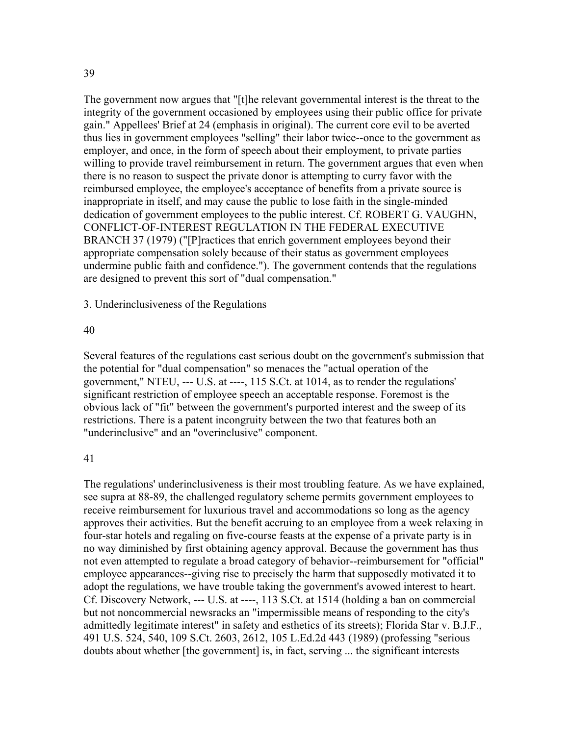The government now argues that "[t]he relevant governmental interest is the threat to the integrity of the government occasioned by employees using their public office for private gain." Appellees' Brief at 24 (emphasis in original). The current core evil to be averted thus lies in government employees "selling" their labor twice--once to the government as employer, and once, in the form of speech about their employment, to private parties willing to provide travel reimbursement in return. The government argues that even when there is no reason to suspect the private donor is attempting to curry favor with the reimbursed employee, the employee's acceptance of benefits from a private source is inappropriate in itself, and may cause the public to lose faith in the single-minded dedication of government employees to the public interest. Cf. ROBERT G. VAUGHN, CONFLICT-OF-INTEREST REGULATION IN THE FEDERAL EXECUTIVE BRANCH 37 (1979) ("[P]ractices that enrich government employees beyond their appropriate compensation solely because of their status as government employees undermine public faith and confidence."). The government contends that the regulations are designed to prevent this sort of "dual compensation."

3. Underinclusiveness of the Regulations

#### 40

Several features of the regulations cast serious doubt on the government's submission that the potential for "dual compensation" so menaces the "actual operation of the government," NTEU, --- U.S. at ----, 115 S.Ct. at 1014, as to render the regulations' significant restriction of employee speech an acceptable response. Foremost is the obvious lack of "fit" between the government's purported interest and the sweep of its restrictions. There is a patent incongruity between the two that features both an "underinclusive" and an "overinclusive" component.

#### 41

The regulations' underinclusiveness is their most troubling feature. As we have explained, see supra at 88-89, the challenged regulatory scheme permits government employees to receive reimbursement for luxurious travel and accommodations so long as the agency approves their activities. But the benefit accruing to an employee from a week relaxing in four-star hotels and regaling on five-course feasts at the expense of a private party is in no way diminished by first obtaining agency approval. Because the government has thus not even attempted to regulate a broad category of behavior--reimbursement for "official" employee appearances--giving rise to precisely the harm that supposedly motivated it to adopt the regulations, we have trouble taking the government's avowed interest to heart. Cf. Discovery Network, --- U.S. at ----, 113 S.Ct. at 1514 (holding a ban on commercial but not noncommercial newsracks an "impermissible means of responding to the city's admittedly legitimate interest" in safety and esthetics of its streets); Florida Star v. B.J.F., 491 U.S. 524, 540, 109 S.Ct. 2603, 2612, 105 L.Ed.2d 443 (1989) (professing "serious doubts about whether [the government] is, in fact, serving ... the significant interests

39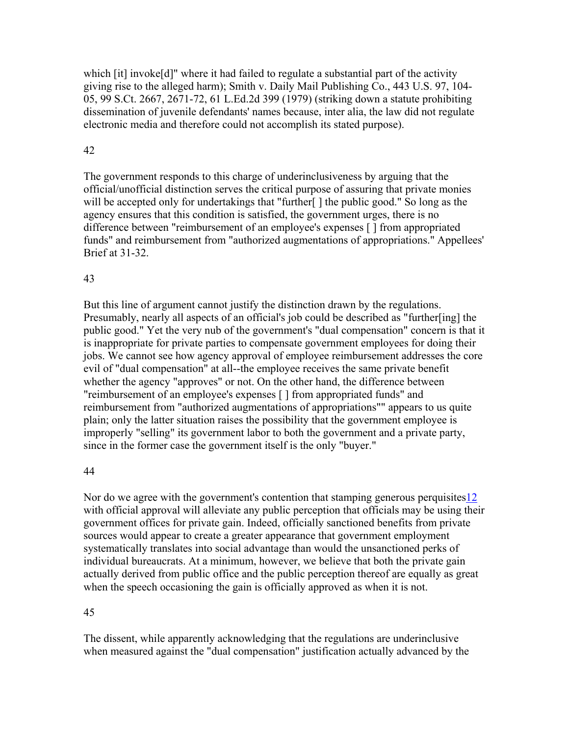which  $[it]$  invoke $[d]$ " where it had failed to regulate a substantial part of the activity giving rise to the alleged harm); Smith v. Daily Mail Publishing Co., 443 U.S. 97, 104- 05, 99 S.Ct. 2667, 2671-72, 61 L.Ed.2d 399 (1979) (striking down a statute prohibiting dissemination of juvenile defendants' names because, inter alia, the law did not regulate electronic media and therefore could not accomplish its stated purpose).

## 42

The government responds to this charge of underinclusiveness by arguing that the official/unofficial distinction serves the critical purpose of assuring that private monies will be accepted only for undertakings that "further[] the public good." So long as the agency ensures that this condition is satisfied, the government urges, there is no difference between "reimbursement of an employee's expenses [ ] from appropriated funds" and reimbursement from "authorized augmentations of appropriations." Appellees' Brief at 31-32.

## 43

But this line of argument cannot justify the distinction drawn by the regulations. Presumably, nearly all aspects of an official's job could be described as "further[ing] the public good." Yet the very nub of the government's "dual compensation" concern is that it is inappropriate for private parties to compensate government employees for doing their jobs. We cannot see how agency approval of employee reimbursement addresses the core evil of "dual compensation" at all--the employee receives the same private benefit whether the agency "approves" or not. On the other hand, the difference between "reimbursement of an employee's expenses [ ] from appropriated funds" and reimbursement from "authorized augmentations of appropriations"" appears to us quite plain; only the latter situation raises the possibility that the government employee is improperly "selling" its government labor to both the government and a private party, since in the former case the government itself is the only "buyer."

## 44

Nor do we agree with the government's contention that stamping generous perquisites12 with official approval will alleviate any public perception that officials may be using their government offices for private gain. Indeed, officially sanctioned benefits from private sources would appear to create a greater appearance that government employment systematically translates into social advantage than would the unsanctioned perks of individual bureaucrats. At a minimum, however, we believe that both the private gain actually derived from public office and the public perception thereof are equally as great when the speech occasioning the gain is officially approved as when it is not.

# 45

The dissent, while apparently acknowledging that the regulations are underinclusive when measured against the "dual compensation" justification actually advanced by the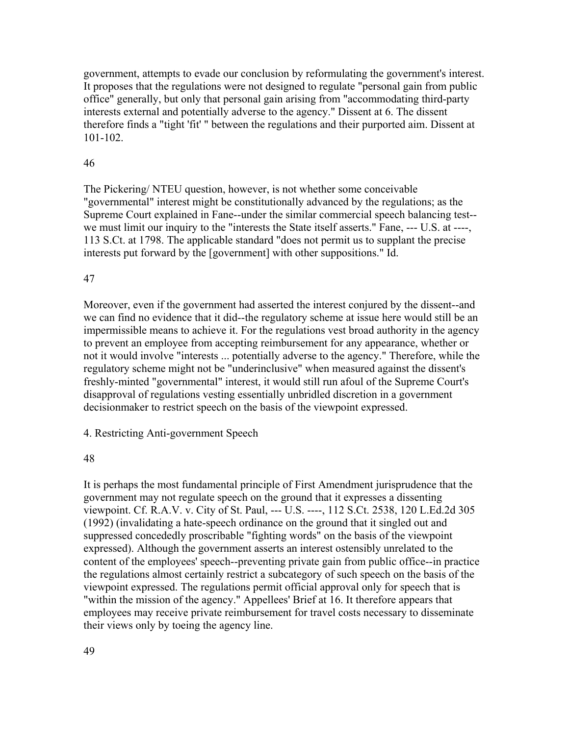government, attempts to evade our conclusion by reformulating the government's interest. It proposes that the regulations were not designed to regulate "personal gain from public office" generally, but only that personal gain arising from "accommodating third-party interests external and potentially adverse to the agency." Dissent at 6. The dissent therefore finds a "tight 'fit' " between the regulations and their purported aim. Dissent at 101-102.

#### 46

The Pickering/ NTEU question, however, is not whether some conceivable "governmental" interest might be constitutionally advanced by the regulations; as the Supreme Court explained in Fane--under the similar commercial speech balancing test- we must limit our inquiry to the "interests the State itself asserts." Fane, --- U.S. at ----, 113 S.Ct. at 1798. The applicable standard "does not permit us to supplant the precise interests put forward by the [government] with other suppositions." Id.

#### 47

Moreover, even if the government had asserted the interest conjured by the dissent--and we can find no evidence that it did--the regulatory scheme at issue here would still be an impermissible means to achieve it. For the regulations vest broad authority in the agency to prevent an employee from accepting reimbursement for any appearance, whether or not it would involve "interests ... potentially adverse to the agency." Therefore, while the regulatory scheme might not be "underinclusive" when measured against the dissent's freshly-minted "governmental" interest, it would still run afoul of the Supreme Court's disapproval of regulations vesting essentially unbridled discretion in a government decisionmaker to restrict speech on the basis of the viewpoint expressed.

4. Restricting Anti-government Speech

#### 48

It is perhaps the most fundamental principle of First Amendment jurisprudence that the government may not regulate speech on the ground that it expresses a dissenting viewpoint. Cf. R.A.V. v. City of St. Paul, --- U.S. ----, 112 S.Ct. 2538, 120 L.Ed.2d 305 (1992) (invalidating a hate-speech ordinance on the ground that it singled out and suppressed concededly proscribable "fighting words" on the basis of the viewpoint expressed). Although the government asserts an interest ostensibly unrelated to the content of the employees' speech--preventing private gain from public office--in practice the regulations almost certainly restrict a subcategory of such speech on the basis of the viewpoint expressed. The regulations permit official approval only for speech that is "within the mission of the agency." Appellees' Brief at 16. It therefore appears that employees may receive private reimbursement for travel costs necessary to disseminate their views only by toeing the agency line.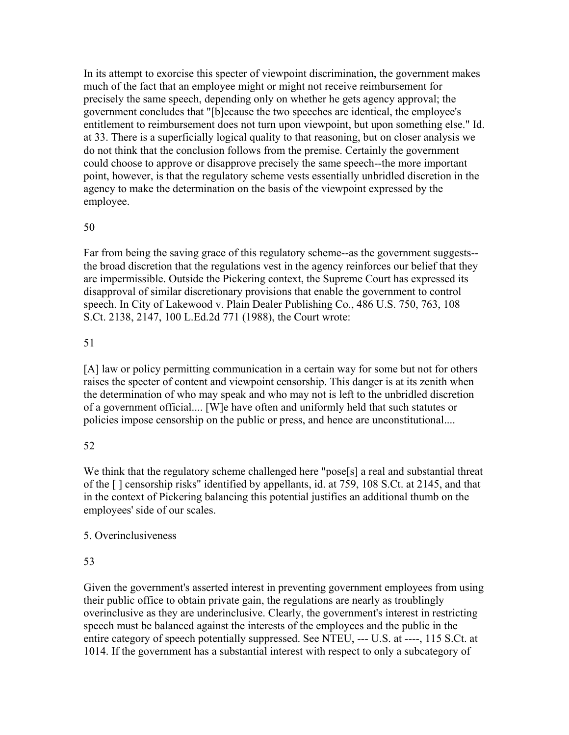In its attempt to exorcise this specter of viewpoint discrimination, the government makes much of the fact that an employee might or might not receive reimbursement for precisely the same speech, depending only on whether he gets agency approval; the government concludes that "[b]ecause the two speeches are identical, the employee's entitlement to reimbursement does not turn upon viewpoint, but upon something else." Id. at 33. There is a superficially logical quality to that reasoning, but on closer analysis we do not think that the conclusion follows from the premise. Certainly the government could choose to approve or disapprove precisely the same speech--the more important point, however, is that the regulatory scheme vests essentially unbridled discretion in the agency to make the determination on the basis of the viewpoint expressed by the employee.

## 50

Far from being the saving grace of this regulatory scheme--as the government suggests- the broad discretion that the regulations vest in the agency reinforces our belief that they are impermissible. Outside the Pickering context, the Supreme Court has expressed its disapproval of similar discretionary provisions that enable the government to control speech. In City of Lakewood v. Plain Dealer Publishing Co., 486 U.S. 750, 763, 108 S.Ct. 2138, 2147, 100 L.Ed.2d 771 (1988), the Court wrote:

## 51

[A] law or policy permitting communication in a certain way for some but not for others raises the specter of content and viewpoint censorship. This danger is at its zenith when the determination of who may speak and who may not is left to the unbridled discretion of a government official.... [W]e have often and uniformly held that such statutes or policies impose censorship on the public or press, and hence are unconstitutional....

## 52

We think that the regulatory scheme challenged here "pose[s] a real and substantial threat of the [ ] censorship risks" identified by appellants, id. at 759, 108 S.Ct. at 2145, and that in the context of Pickering balancing this potential justifies an additional thumb on the employees' side of our scales.

## 5. Overinclusiveness

## 53

Given the government's asserted interest in preventing government employees from using their public office to obtain private gain, the regulations are nearly as troublingly overinclusive as they are underinclusive. Clearly, the government's interest in restricting speech must be balanced against the interests of the employees and the public in the entire category of speech potentially suppressed. See NTEU, --- U.S. at ----, 115 S.Ct. at 1014. If the government has a substantial interest with respect to only a subcategory of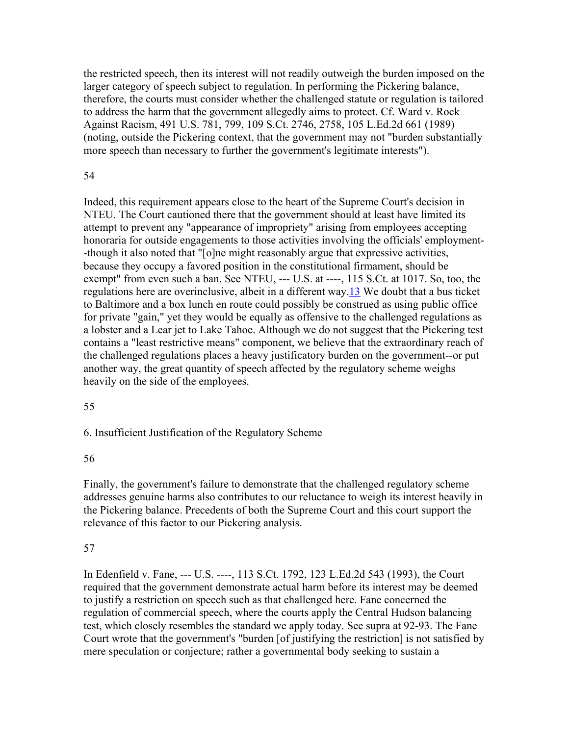the restricted speech, then its interest will not readily outweigh the burden imposed on the larger category of speech subject to regulation. In performing the Pickering balance, therefore, the courts must consider whether the challenged statute or regulation is tailored to address the harm that the government allegedly aims to protect. Cf. Ward v. Rock Against Racism, 491 U.S. 781, 799, 109 S.Ct. 2746, 2758, 105 L.Ed.2d 661 (1989) (noting, outside the Pickering context, that the government may not "burden substantially more speech than necessary to further the government's legitimate interests").

#### 54

Indeed, this requirement appears close to the heart of the Supreme Court's decision in NTEU. The Court cautioned there that the government should at least have limited its attempt to prevent any "appearance of impropriety" arising from employees accepting honoraria for outside engagements to those activities involving the officials' employment- -though it also noted that "[o]ne might reasonably argue that expressive activities, because they occupy a favored position in the constitutional firmament, should be exempt" from even such a ban. See NTEU, --- U.S. at ----, 115 S.Ct. at 1017. So, too, the regulations here are overinclusive, albeit in a different way.13 We doubt that a bus ticket to Baltimore and a box lunch en route could possibly be construed as using public office for private "gain," yet they would be equally as offensive to the challenged regulations as a lobster and a Lear jet to Lake Tahoe. Although we do not suggest that the Pickering test contains a "least restrictive means" component, we believe that the extraordinary reach of the challenged regulations places a heavy justificatory burden on the government--or put another way, the great quantity of speech affected by the regulatory scheme weighs heavily on the side of the employees.

#### 55

6. Insufficient Justification of the Regulatory Scheme

## 56

Finally, the government's failure to demonstrate that the challenged regulatory scheme addresses genuine harms also contributes to our reluctance to weigh its interest heavily in the Pickering balance. Precedents of both the Supreme Court and this court support the relevance of this factor to our Pickering analysis.

## 57

In Edenfield v. Fane, --- U.S. ----, 113 S.Ct. 1792, 123 L.Ed.2d 543 (1993), the Court required that the government demonstrate actual harm before its interest may be deemed to justify a restriction on speech such as that challenged here. Fane concerned the regulation of commercial speech, where the courts apply the Central Hudson balancing test, which closely resembles the standard we apply today. See supra at 92-93. The Fane Court wrote that the government's "burden [of justifying the restriction] is not satisfied by mere speculation or conjecture; rather a governmental body seeking to sustain a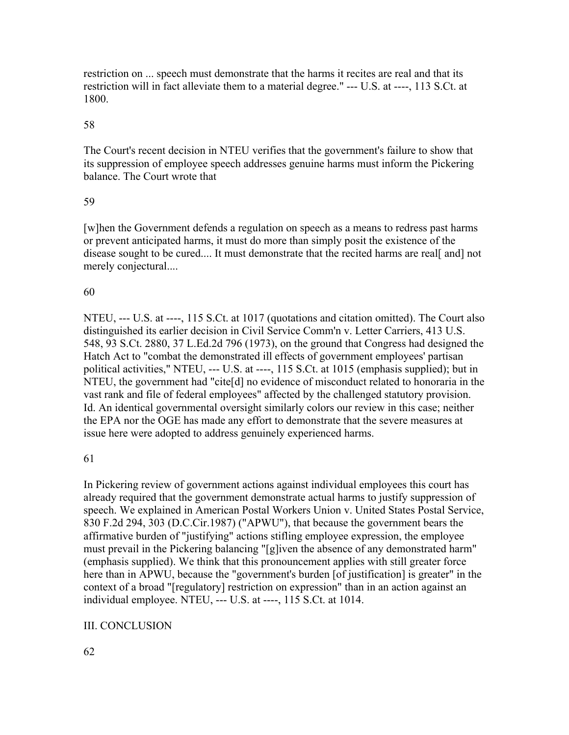restriction on ... speech must demonstrate that the harms it recites are real and that its restriction will in fact alleviate them to a material degree." --- U.S. at ----, 113 S.Ct. at 1800.

## 58

The Court's recent decision in NTEU verifies that the government's failure to show that its suppression of employee speech addresses genuine harms must inform the Pickering balance. The Court wrote that

## 59

[w]hen the Government defends a regulation on speech as a means to redress past harms or prevent anticipated harms, it must do more than simply posit the existence of the disease sought to be cured.... It must demonstrate that the recited harms are real[ and] not merely conjectural....

## 60

NTEU, --- U.S. at ----, 115 S.Ct. at 1017 (quotations and citation omitted). The Court also distinguished its earlier decision in Civil Service Comm'n v. Letter Carriers, 413 U.S. 548, 93 S.Ct. 2880, 37 L.Ed.2d 796 (1973), on the ground that Congress had designed the Hatch Act to "combat the demonstrated ill effects of government employees' partisan political activities," NTEU, --- U.S. at ----, 115 S.Ct. at 1015 (emphasis supplied); but in NTEU, the government had "cite[d] no evidence of misconduct related to honoraria in the vast rank and file of federal employees" affected by the challenged statutory provision. Id. An identical governmental oversight similarly colors our review in this case; neither the EPA nor the OGE has made any effort to demonstrate that the severe measures at issue here were adopted to address genuinely experienced harms.

## 61

In Pickering review of government actions against individual employees this court has already required that the government demonstrate actual harms to justify suppression of speech. We explained in American Postal Workers Union v. United States Postal Service, 830 F.2d 294, 303 (D.C.Cir.1987) ("APWU"), that because the government bears the affirmative burden of "justifying" actions stifling employee expression, the employee must prevail in the Pickering balancing "[g]iven the absence of any demonstrated harm" (emphasis supplied). We think that this pronouncement applies with still greater force here than in APWU, because the "government's burden [of justification] is greater" in the context of a broad "[regulatory] restriction on expression" than in an action against an individual employee. NTEU, --- U.S. at ----, 115 S.Ct. at 1014.

## III. CONCLUSION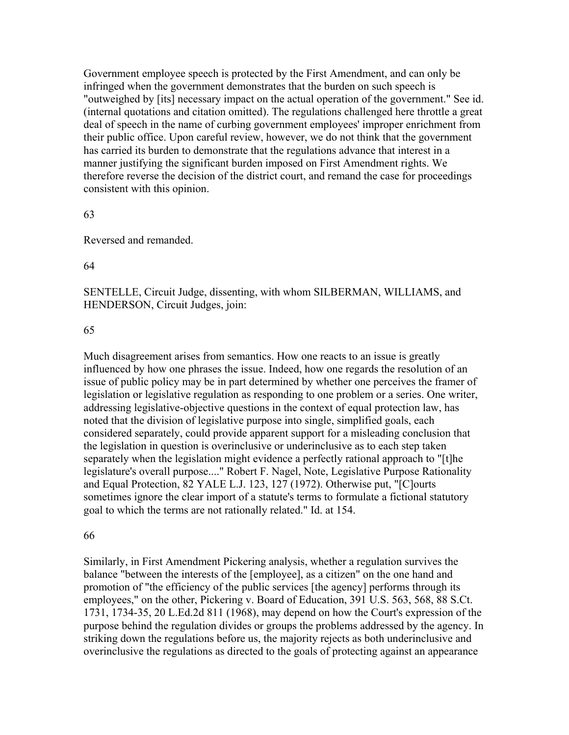Government employee speech is protected by the First Amendment, and can only be infringed when the government demonstrates that the burden on such speech is "outweighed by [its] necessary impact on the actual operation of the government." See id. (internal quotations and citation omitted). The regulations challenged here throttle a great deal of speech in the name of curbing government employees' improper enrichment from their public office. Upon careful review, however, we do not think that the government has carried its burden to demonstrate that the regulations advance that interest in a manner justifying the significant burden imposed on First Amendment rights. We therefore reverse the decision of the district court, and remand the case for proceedings consistent with this opinion.

#### 63

Reversed and remanded.

#### 64

SENTELLE, Circuit Judge, dissenting, with whom SILBERMAN, WILLIAMS, and HENDERSON, Circuit Judges, join:

#### 65

Much disagreement arises from semantics. How one reacts to an issue is greatly influenced by how one phrases the issue. Indeed, how one regards the resolution of an issue of public policy may be in part determined by whether one perceives the framer of legislation or legislative regulation as responding to one problem or a series. One writer, addressing legislative-objective questions in the context of equal protection law, has noted that the division of legislative purpose into single, simplified goals, each considered separately, could provide apparent support for a misleading conclusion that the legislation in question is overinclusive or underinclusive as to each step taken separately when the legislation might evidence a perfectly rational approach to "[t]he legislature's overall purpose...." Robert F. Nagel, Note, Legislative Purpose Rationality and Equal Protection, 82 YALE L.J. 123, 127 (1972). Otherwise put, "[C]ourts sometimes ignore the clear import of a statute's terms to formulate a fictional statutory goal to which the terms are not rationally related." Id. at 154.

#### 66

Similarly, in First Amendment Pickering analysis, whether a regulation survives the balance "between the interests of the [employee], as a citizen" on the one hand and promotion of "the efficiency of the public services [the agency] performs through its employees," on the other, Pickering v. Board of Education, 391 U.S. 563, 568, 88 S.Ct. 1731, 1734-35, 20 L.Ed.2d 811 (1968), may depend on how the Court's expression of the purpose behind the regulation divides or groups the problems addressed by the agency. In striking down the regulations before us, the majority rejects as both underinclusive and overinclusive the regulations as directed to the goals of protecting against an appearance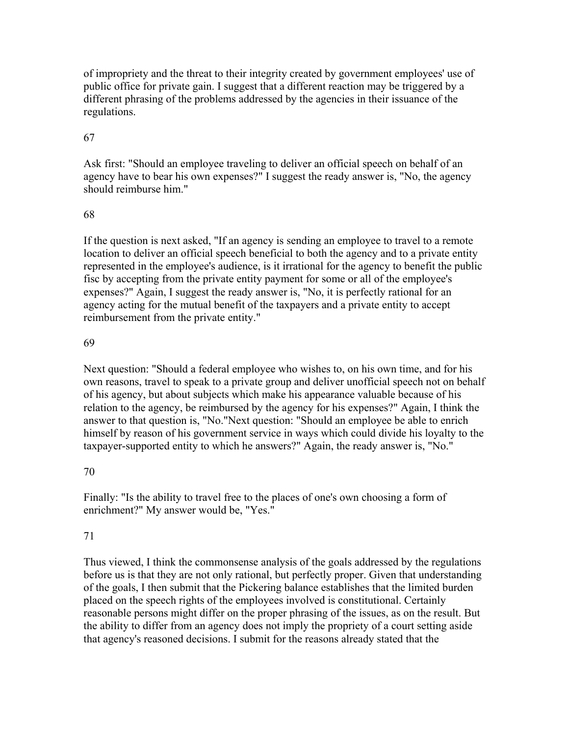of impropriety and the threat to their integrity created by government employees' use of public office for private gain. I suggest that a different reaction may be triggered by a different phrasing of the problems addressed by the agencies in their issuance of the regulations.

## 67

Ask first: "Should an employee traveling to deliver an official speech on behalf of an agency have to bear his own expenses?" I suggest the ready answer is, "No, the agency should reimburse him."

## 68

If the question is next asked, "If an agency is sending an employee to travel to a remote location to deliver an official speech beneficial to both the agency and to a private entity represented in the employee's audience, is it irrational for the agency to benefit the public fisc by accepting from the private entity payment for some or all of the employee's expenses?" Again, I suggest the ready answer is, "No, it is perfectly rational for an agency acting for the mutual benefit of the taxpayers and a private entity to accept reimbursement from the private entity."

## 69

Next question: "Should a federal employee who wishes to, on his own time, and for his own reasons, travel to speak to a private group and deliver unofficial speech not on behalf of his agency, but about subjects which make his appearance valuable because of his relation to the agency, be reimbursed by the agency for his expenses?" Again, I think the answer to that question is, "No."Next question: "Should an employee be able to enrich himself by reason of his government service in ways which could divide his loyalty to the taxpayer-supported entity to which he answers?" Again, the ready answer is, "No."

## 70

Finally: "Is the ability to travel free to the places of one's own choosing a form of enrichment?" My answer would be, "Yes."

## 71

Thus viewed, I think the commonsense analysis of the goals addressed by the regulations before us is that they are not only rational, but perfectly proper. Given that understanding of the goals, I then submit that the Pickering balance establishes that the limited burden placed on the speech rights of the employees involved is constitutional. Certainly reasonable persons might differ on the proper phrasing of the issues, as on the result. But the ability to differ from an agency does not imply the propriety of a court setting aside that agency's reasoned decisions. I submit for the reasons already stated that the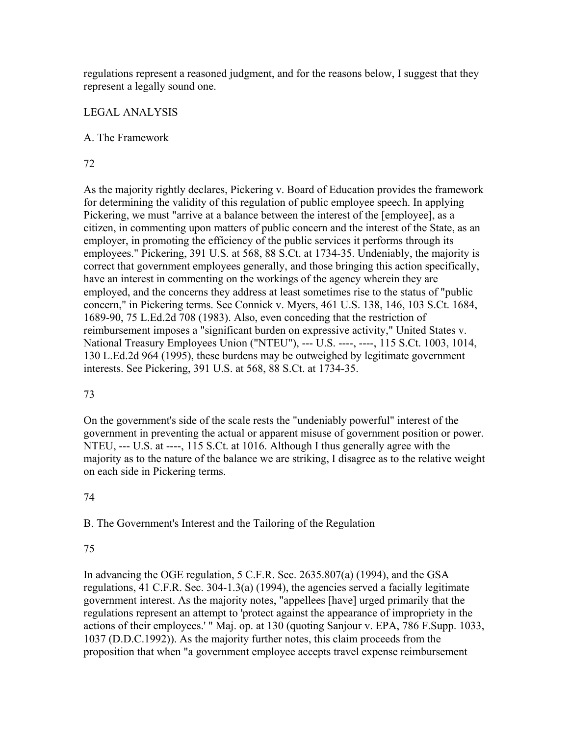regulations represent a reasoned judgment, and for the reasons below, I suggest that they represent a legally sound one.

## LEGAL ANALYSIS

### A. The Framework

## 72

As the majority rightly declares, Pickering v. Board of Education provides the framework for determining the validity of this regulation of public employee speech. In applying Pickering, we must "arrive at a balance between the interest of the [employee], as a citizen, in commenting upon matters of public concern and the interest of the State, as an employer, in promoting the efficiency of the public services it performs through its employees." Pickering, 391 U.S. at 568, 88 S.Ct. at 1734-35. Undeniably, the majority is correct that government employees generally, and those bringing this action specifically, have an interest in commenting on the workings of the agency wherein they are employed, and the concerns they address at least sometimes rise to the status of "public concern," in Pickering terms. See Connick v. Myers, 461 U.S. 138, 146, 103 S.Ct. 1684, 1689-90, 75 L.Ed.2d 708 (1983). Also, even conceding that the restriction of reimbursement imposes a "significant burden on expressive activity," United States v. National Treasury Employees Union ("NTEU"), --- U.S. ----, ----, 115 S.Ct. 1003, 1014, 130 L.Ed.2d 964 (1995), these burdens may be outweighed by legitimate government interests. See Pickering, 391 U.S. at 568, 88 S.Ct. at 1734-35.

## 73

On the government's side of the scale rests the "undeniably powerful" interest of the government in preventing the actual or apparent misuse of government position or power. NTEU, --- U.S. at ----, 115 S.Ct. at 1016. Although I thus generally agree with the majority as to the nature of the balance we are striking, I disagree as to the relative weight on each side in Pickering terms.

## 74

B. The Government's Interest and the Tailoring of the Regulation

## 75

In advancing the OGE regulation, 5 C.F.R. Sec. 2635.807(a) (1994), and the GSA regulations, 41 C.F.R. Sec. 304-1.3(a) (1994), the agencies served a facially legitimate government interest. As the majority notes, "appellees [have] urged primarily that the regulations represent an attempt to 'protect against the appearance of impropriety in the actions of their employees.' " Maj. op. at 130 (quoting Sanjour v. EPA, 786 F.Supp. 1033, 1037 (D.D.C.1992)). As the majority further notes, this claim proceeds from the proposition that when "a government employee accepts travel expense reimbursement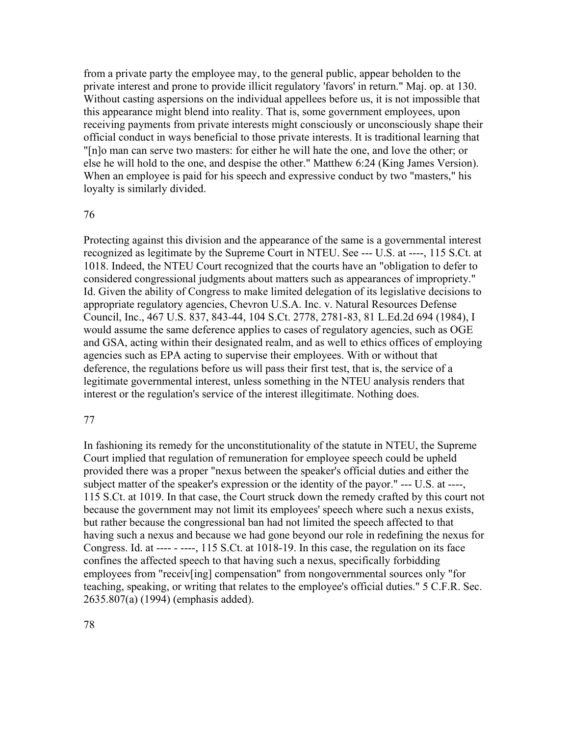from a private party the employee may, to the general public, appear beholden to the private interest and prone to provide illicit regulatory 'favors' in return." Maj. op. at 130. Without casting aspersions on the individual appellees before us, it is not impossible that this appearance might blend into reality. That is, some government employees, upon receiving payments from private interests might consciously or unconsciously shape their official conduct in ways beneficial to those private interests. It is traditional learning that "[n]o man can serve two masters: for either he will hate the one, and love the other; or else he will hold to the one, and despise the other." Matthew 6:24 (King James Version). When an employee is paid for his speech and expressive conduct by two "masters," his loyalty is similarly divided.

#### 76

Protecting against this division and the appearance of the same is a governmental interest recognized as legitimate by the Supreme Court in NTEU. See --- U.S. at ----, 115 S.Ct. at 1018. Indeed, the NTEU Court recognized that the courts have an "obligation to defer to considered congressional judgments about matters such as appearances of impropriety." Id. Given the ability of Congress to make limited delegation of its legislative decisions to appropriate regulatory agencies, Chevron U.S.A. Inc. v. Natural Resources Defense Council, Inc., 467 U.S. 837, 843-44, 104 S.Ct. 2778, 2781-83, 81 L.Ed.2d 694 (1984), I would assume the same deference applies to cases of regulatory agencies, such as OGE and GSA, acting within their designated realm, and as well to ethics offices of employing agencies such as EPA acting to supervise their employees. With or without that deference, the regulations before us will pass their first test, that is, the service of a legitimate governmental interest, unless something in the NTEU analysis renders that interest or the regulation's service of the interest illegitimate. Nothing does.

#### 77

In fashioning its remedy for the unconstitutionality of the statute in NTEU, the Supreme Court implied that regulation of remuneration for employee speech could be upheld provided there was a proper "nexus between the speaker's official duties and either the subject matter of the speaker's expression or the identity of the payor." --- U.S. at ----, 115 S.Ct. at 1019. In that case, the Court struck down the remedy crafted by this court not because the government may not limit its employees' speech where such a nexus exists, but rather because the congressional ban had not limited the speech affected to that having such a nexus and because we had gone beyond our role in redefining the nexus for Congress. Id. at ---- - ----, 115 S.Ct. at 1018-19. In this case, the regulation on its face confines the affected speech to that having such a nexus, specifically forbidding employees from "receiv[ing] compensation" from nongovernmental sources only "for teaching, speaking, or writing that relates to the employee's official duties." 5 C.F.R. Sec. 2635.807(a) (1994) (emphasis added).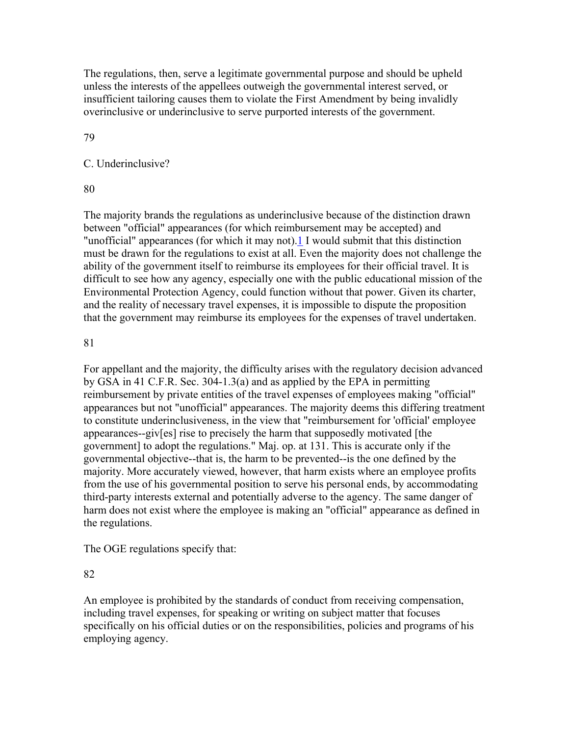The regulations, then, serve a legitimate governmental purpose and should be upheld unless the interests of the appellees outweigh the governmental interest served, or insufficient tailoring causes them to violate the First Amendment by being invalidly overinclusive or underinclusive to serve purported interests of the government.

79

## C. Underinclusive?

80

The majority brands the regulations as underinclusive because of the distinction drawn between "official" appearances (for which reimbursement may be accepted) and "unofficial" appearances (for which it may not).1 I would submit that this distinction must be drawn for the regulations to exist at all. Even the majority does not challenge the ability of the government itself to reimburse its employees for their official travel. It is difficult to see how any agency, especially one with the public educational mission of the Environmental Protection Agency, could function without that power. Given its charter, and the reality of necessary travel expenses, it is impossible to dispute the proposition that the government may reimburse its employees for the expenses of travel undertaken.

## 81

For appellant and the majority, the difficulty arises with the regulatory decision advanced by GSA in 41 C.F.R. Sec. 304-1.3(a) and as applied by the EPA in permitting reimbursement by private entities of the travel expenses of employees making "official" appearances but not "unofficial" appearances. The majority deems this differing treatment to constitute underinclusiveness, in the view that "reimbursement for 'official' employee appearances--giv[es] rise to precisely the harm that supposedly motivated [the government] to adopt the regulations." Maj. op. at 131. This is accurate only if the governmental objective--that is, the harm to be prevented--is the one defined by the majority. More accurately viewed, however, that harm exists where an employee profits from the use of his governmental position to serve his personal ends, by accommodating third-party interests external and potentially adverse to the agency. The same danger of harm does not exist where the employee is making an "official" appearance as defined in the regulations.

The OGE regulations specify that:

82

An employee is prohibited by the standards of conduct from receiving compensation, including travel expenses, for speaking or writing on subject matter that focuses specifically on his official duties or on the responsibilities, policies and programs of his employing agency.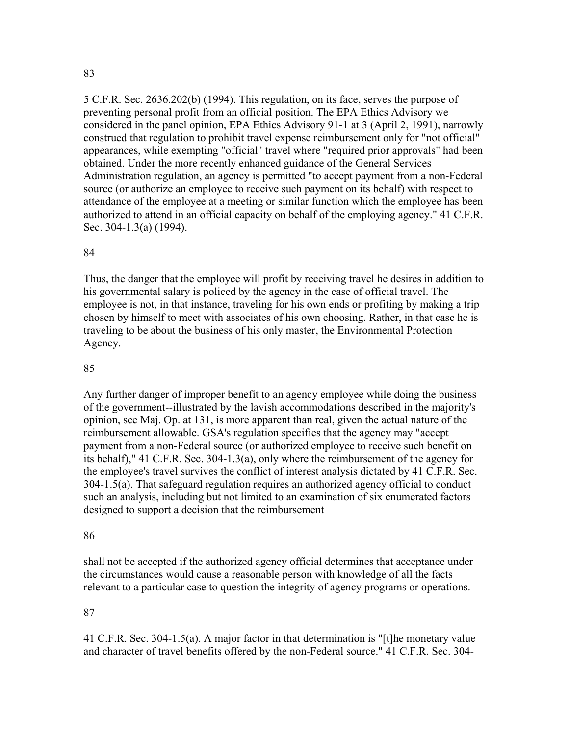#### 83

5 C.F.R. Sec. 2636.202(b) (1994). This regulation, on its face, serves the purpose of preventing personal profit from an official position. The EPA Ethics Advisory we considered in the panel opinion, EPA Ethics Advisory 91-1 at 3 (April 2, 1991), narrowly construed that regulation to prohibit travel expense reimbursement only for "not official" appearances, while exempting "official" travel where "required prior approvals" had been obtained. Under the more recently enhanced guidance of the General Services Administration regulation, an agency is permitted "to accept payment from a non-Federal source (or authorize an employee to receive such payment on its behalf) with respect to attendance of the employee at a meeting or similar function which the employee has been authorized to attend in an official capacity on behalf of the employing agency." 41 C.F.R. Sec. 304-1.3(a) (1994).

#### 84

Thus, the danger that the employee will profit by receiving travel he desires in addition to his governmental salary is policed by the agency in the case of official travel. The employee is not, in that instance, traveling for his own ends or profiting by making a trip chosen by himself to meet with associates of his own choosing. Rather, in that case he is traveling to be about the business of his only master, the Environmental Protection Agency.

## 85

Any further danger of improper benefit to an agency employee while doing the business of the government--illustrated by the lavish accommodations described in the majority's opinion, see Maj. Op. at 131, is more apparent than real, given the actual nature of the reimbursement allowable. GSA's regulation specifies that the agency may "accept payment from a non-Federal source (or authorized employee to receive such benefit on its behalf)," 41 C.F.R. Sec. 304-1.3(a), only where the reimbursement of the agency for the employee's travel survives the conflict of interest analysis dictated by 41 C.F.R. Sec. 304-1.5(a). That safeguard regulation requires an authorized agency official to conduct such an analysis, including but not limited to an examination of six enumerated factors designed to support a decision that the reimbursement

#### 86

shall not be accepted if the authorized agency official determines that acceptance under the circumstances would cause a reasonable person with knowledge of all the facts relevant to a particular case to question the integrity of agency programs or operations.

#### 87

41 C.F.R. Sec. 304-1.5(a). A major factor in that determination is "[t]he monetary value and character of travel benefits offered by the non-Federal source." 41 C.F.R. Sec. 304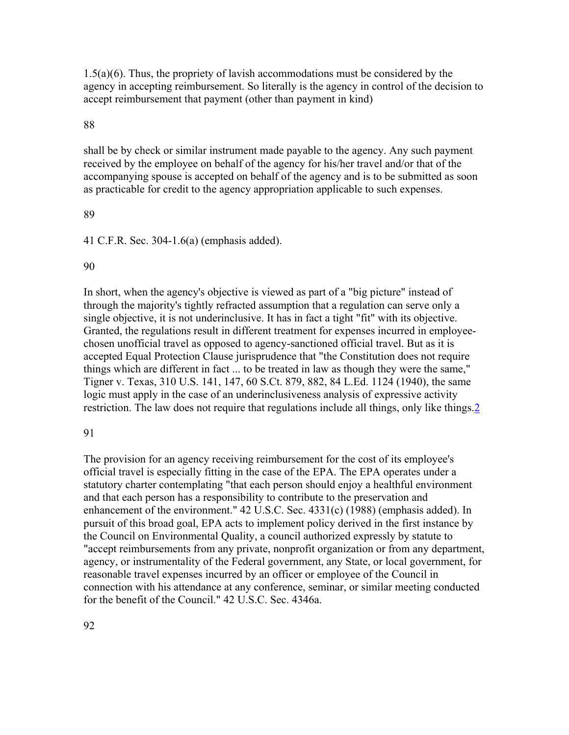1.5(a)(6). Thus, the propriety of lavish accommodations must be considered by the agency in accepting reimbursement. So literally is the agency in control of the decision to accept reimbursement that payment (other than payment in kind)

#### 88

shall be by check or similar instrument made payable to the agency. Any such payment received by the employee on behalf of the agency for his/her travel and/or that of the accompanying spouse is accepted on behalf of the agency and is to be submitted as soon as practicable for credit to the agency appropriation applicable to such expenses.

#### 89

41 C.F.R. Sec. 304-1.6(a) (emphasis added).

#### 90

In short, when the agency's objective is viewed as part of a "big picture" instead of through the majority's tightly refracted assumption that a regulation can serve only a single objective, it is not underinclusive. It has in fact a tight "fit" with its objective. Granted, the regulations result in different treatment for expenses incurred in employeechosen unofficial travel as opposed to agency-sanctioned official travel. But as it is accepted Equal Protection Clause jurisprudence that "the Constitution does not require things which are different in fact ... to be treated in law as though they were the same," Tigner v. Texas, 310 U.S. 141, 147, 60 S.Ct. 879, 882, 84 L.Ed. 1124 (1940), the same logic must apply in the case of an underinclusiveness analysis of expressive activity restriction. The law does not require that regulations include all things, only like things. 2

#### 91

The provision for an agency receiving reimbursement for the cost of its employee's official travel is especially fitting in the case of the EPA. The EPA operates under a statutory charter contemplating "that each person should enjoy a healthful environment and that each person has a responsibility to contribute to the preservation and enhancement of the environment." 42 U.S.C. Sec. 4331(c) (1988) (emphasis added). In pursuit of this broad goal, EPA acts to implement policy derived in the first instance by the Council on Environmental Quality, a council authorized expressly by statute to "accept reimbursements from any private, nonprofit organization or from any department, agency, or instrumentality of the Federal government, any State, or local government, for reasonable travel expenses incurred by an officer or employee of the Council in connection with his attendance at any conference, seminar, or similar meeting conducted for the benefit of the Council." 42 U.S.C. Sec. 4346a.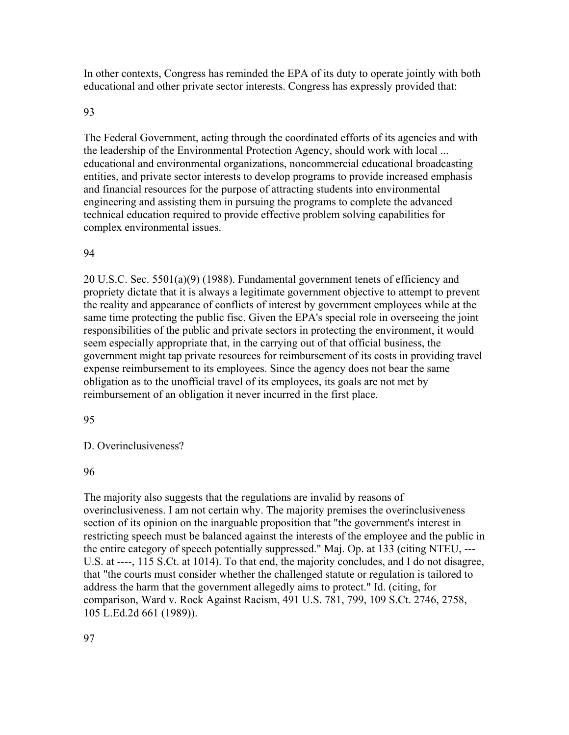In other contexts, Congress has reminded the EPA of its duty to operate jointly with both educational and other private sector interests. Congress has expressly provided that:

#### 93

The Federal Government, acting through the coordinated efforts of its agencies and with the leadership of the Environmental Protection Agency, should work with local ... educational and environmental organizations, noncommercial educational broadcasting entities, and private sector interests to develop programs to provide increased emphasis and financial resources for the purpose of attracting students into environmental engineering and assisting them in pursuing the programs to complete the advanced technical education required to provide effective problem solving capabilities for complex environmental issues.

#### 94

20 U.S.C. Sec. 5501(a)(9) (1988). Fundamental government tenets of efficiency and propriety dictate that it is always a legitimate government objective to attempt to prevent the reality and appearance of conflicts of interest by government employees while at the same time protecting the public fisc. Given the EPA's special role in overseeing the joint responsibilities of the public and private sectors in protecting the environment, it would seem especially appropriate that, in the carrying out of that official business, the government might tap private resources for reimbursement of its costs in providing travel expense reimbursement to its employees. Since the agency does not bear the same obligation as to the unofficial travel of its employees, its goals are not met by reimbursement of an obligation it never incurred in the first place.

#### 95

D. Overinclusiveness?

96

The majority also suggests that the regulations are invalid by reasons of overinclusiveness. I am not certain why. The majority premises the overinclusiveness section of its opinion on the inarguable proposition that "the government's interest in restricting speech must be balanced against the interests of the employee and the public in the entire category of speech potentially suppressed." Maj. Op. at 133 (citing NTEU, --- U.S. at ----, 115 S.Ct. at 1014). To that end, the majority concludes, and I do not disagree, that "the courts must consider whether the challenged statute or regulation is tailored to address the harm that the government allegedly aims to protect." Id. (citing, for comparison, Ward v. Rock Against Racism, 491 U.S. 781, 799, 109 S.Ct. 2746, 2758, 105 L.Ed.2d 661 (1989)).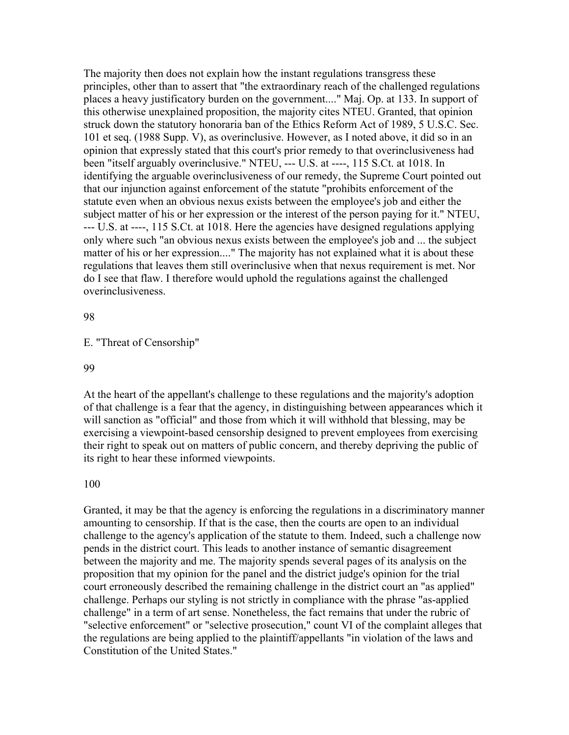The majority then does not explain how the instant regulations transgress these principles, other than to assert that "the extraordinary reach of the challenged regulations places a heavy justificatory burden on the government...." Maj. Op. at 133. In support of this otherwise unexplained proposition, the majority cites NTEU. Granted, that opinion struck down the statutory honoraria ban of the Ethics Reform Act of 1989, 5 U.S.C. Sec. 101 et seq. (1988 Supp. V), as overinclusive. However, as I noted above, it did so in an opinion that expressly stated that this court's prior remedy to that overinclusiveness had been "itself arguably overinclusive." NTEU, --- U.S. at ----, 115 S.Ct. at 1018. In identifying the arguable overinclusiveness of our remedy, the Supreme Court pointed out that our injunction against enforcement of the statute "prohibits enforcement of the statute even when an obvious nexus exists between the employee's job and either the subject matter of his or her expression or the interest of the person paying for it." NTEU, --- U.S. at ----, 115 S.Ct. at 1018. Here the agencies have designed regulations applying only where such "an obvious nexus exists between the employee's job and ... the subject matter of his or her expression...." The majority has not explained what it is about these regulations that leaves them still overinclusive when that nexus requirement is met. Nor do I see that flaw. I therefore would uphold the regulations against the challenged overinclusiveness.

98

### E. "Threat of Censorship"

99

At the heart of the appellant's challenge to these regulations and the majority's adoption of that challenge is a fear that the agency, in distinguishing between appearances which it will sanction as "official" and those from which it will withhold that blessing, may be exercising a viewpoint-based censorship designed to prevent employees from exercising their right to speak out on matters of public concern, and thereby depriving the public of its right to hear these informed viewpoints.

#### 100

Granted, it may be that the agency is enforcing the regulations in a discriminatory manner amounting to censorship. If that is the case, then the courts are open to an individual challenge to the agency's application of the statute to them. Indeed, such a challenge now pends in the district court. This leads to another instance of semantic disagreement between the majority and me. The majority spends several pages of its analysis on the proposition that my opinion for the panel and the district judge's opinion for the trial court erroneously described the remaining challenge in the district court an "as applied" challenge. Perhaps our styling is not strictly in compliance with the phrase "as-applied challenge" in a term of art sense. Nonetheless, the fact remains that under the rubric of "selective enforcement" or "selective prosecution," count VI of the complaint alleges that the regulations are being applied to the plaintiff/appellants "in violation of the laws and Constitution of the United States."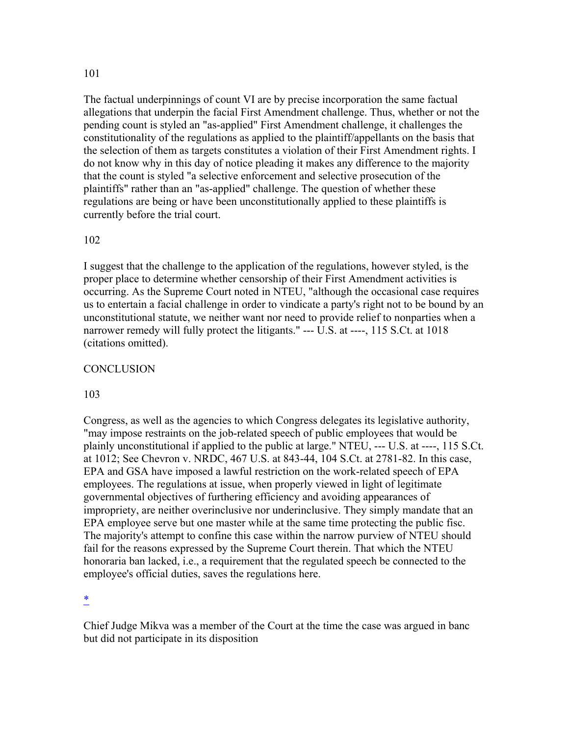#### 101

The factual underpinnings of count VI are by precise incorporation the same factual allegations that underpin the facial First Amendment challenge. Thus, whether or not the pending count is styled an "as-applied" First Amendment challenge, it challenges the constitutionality of the regulations as applied to the plaintiff/appellants on the basis that the selection of them as targets constitutes a violation of their First Amendment rights. I do not know why in this day of notice pleading it makes any difference to the majority that the count is styled "a selective enforcement and selective prosecution of the plaintiffs" rather than an "as-applied" challenge. The question of whether these regulations are being or have been unconstitutionally applied to these plaintiffs is currently before the trial court.

#### 102

I suggest that the challenge to the application of the regulations, however styled, is the proper place to determine whether censorship of their First Amendment activities is occurring. As the Supreme Court noted in NTEU, "although the occasional case requires us to entertain a facial challenge in order to vindicate a party's right not to be bound by an unconstitutional statute, we neither want nor need to provide relief to nonparties when a narrower remedy will fully protect the litigants." --- U.S. at ----, 115 S.Ct. at 1018 (citations omitted).

#### **CONCLUSION**

#### 103

Congress, as well as the agencies to which Congress delegates its legislative authority, "may impose restraints on the job-related speech of public employees that would be plainly unconstitutional if applied to the public at large." NTEU, --- U.S. at ----, 115 S.Ct. at 1012; See Chevron v. NRDC, 467 U.S. at 843-44, 104 S.Ct. at 2781-82. In this case, EPA and GSA have imposed a lawful restriction on the work-related speech of EPA employees. The regulations at issue, when properly viewed in light of legitimate governmental objectives of furthering efficiency and avoiding appearances of impropriety, are neither overinclusive nor underinclusive. They simply mandate that an EPA employee serve but one master while at the same time protecting the public fisc. The majority's attempt to confine this case within the narrow purview of NTEU should fail for the reasons expressed by the Supreme Court therein. That which the NTEU honoraria ban lacked, i.e., a requirement that the regulated speech be connected to the employee's official duties, saves the regulations here.

\*

Chief Judge Mikva was a member of the Court at the time the case was argued in banc but did not participate in its disposition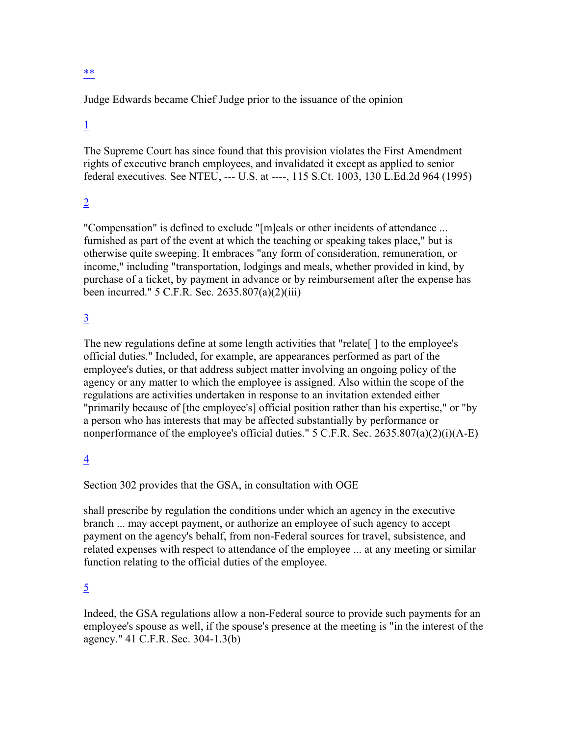## \*\*

Judge Edwards became Chief Judge prior to the issuance of the opinion

# 1

The Supreme Court has since found that this provision violates the First Amendment rights of executive branch employees, and invalidated it except as applied to senior federal executives. See NTEU, --- U.S. at ----, 115 S.Ct. 1003, 130 L.Ed.2d 964 (1995)

# 2

"Compensation" is defined to exclude "[m]eals or other incidents of attendance ... furnished as part of the event at which the teaching or speaking takes place," but is otherwise quite sweeping. It embraces "any form of consideration, remuneration, or income," including "transportation, lodgings and meals, whether provided in kind, by purchase of a ticket, by payment in advance or by reimbursement after the expense has been incurred." 5 C.F.R. Sec. 2635.807(a)(2)(iii)

## 3

The new regulations define at some length activities that "relate [ ] to the employee's official duties." Included, for example, are appearances performed as part of the employee's duties, or that address subject matter involving an ongoing policy of the agency or any matter to which the employee is assigned. Also within the scope of the regulations are activities undertaken in response to an invitation extended either "primarily because of [the employee's] official position rather than his expertise," or "by a person who has interests that may be affected substantially by performance or nonperformance of the employee's official duties."  $5$  C.F.R. Sec. 2635.807(a)(2)(i)(A-E)

# 4

Section 302 provides that the GSA, in consultation with OGE

shall prescribe by regulation the conditions under which an agency in the executive branch ... may accept payment, or authorize an employee of such agency to accept payment on the agency's behalf, from non-Federal sources for travel, subsistence, and related expenses with respect to attendance of the employee ... at any meeting or similar function relating to the official duties of the employee.

## 5

Indeed, the GSA regulations allow a non-Federal source to provide such payments for an employee's spouse as well, if the spouse's presence at the meeting is "in the interest of the agency." 41 C.F.R. Sec. 304-1.3(b)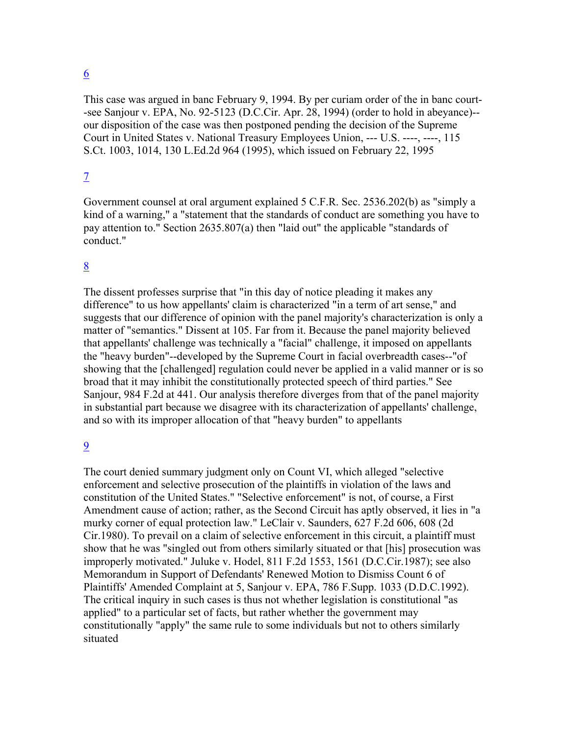## 6

This case was argued in banc February 9, 1994. By per curiam order of the in banc court- -see Sanjour v. EPA, No. 92-5123 (D.C.Cir. Apr. 28, 1994) (order to hold in abeyance)- our disposition of the case was then postponed pending the decision of the Supreme Court in United States v. National Treasury Employees Union, --- U.S. ----, ----, 115 S.Ct. 1003, 1014, 130 L.Ed.2d 964 (1995), which issued on February 22, 1995

## 7

Government counsel at oral argument explained 5 C.F.R. Sec. 2536.202(b) as "simply a kind of a warning," a "statement that the standards of conduct are something you have to pay attention to." Section 2635.807(a) then "laid out" the applicable "standards of conduct."

## 8

The dissent professes surprise that "in this day of notice pleading it makes any difference" to us how appellants' claim is characterized "in a term of art sense," and suggests that our difference of opinion with the panel majority's characterization is only a matter of "semantics." Dissent at 105. Far from it. Because the panel majority believed that appellants' challenge was technically a "facial" challenge, it imposed on appellants the "heavy burden"--developed by the Supreme Court in facial overbreadth cases--"of showing that the [challenged] regulation could never be applied in a valid manner or is so broad that it may inhibit the constitutionally protected speech of third parties." See Sanjour, 984 F.2d at 441. Our analysis therefore diverges from that of the panel majority in substantial part because we disagree with its characterization of appellants' challenge, and so with its improper allocation of that "heavy burden" to appellants

## 9

The court denied summary judgment only on Count VI, which alleged "selective enforcement and selective prosecution of the plaintiffs in violation of the laws and constitution of the United States." "Selective enforcement" is not, of course, a First Amendment cause of action; rather, as the Second Circuit has aptly observed, it lies in "a murky corner of equal protection law." LeClair v. Saunders, 627 F.2d 606, 608 (2d Cir.1980). To prevail on a claim of selective enforcement in this circuit, a plaintiff must show that he was "singled out from others similarly situated or that [his] prosecution was improperly motivated." Juluke v. Hodel, 811 F.2d 1553, 1561 (D.C.Cir.1987); see also Memorandum in Support of Defendants' Renewed Motion to Dismiss Count 6 of Plaintiffs' Amended Complaint at 5, Sanjour v. EPA, 786 F.Supp. 1033 (D.D.C.1992). The critical inquiry in such cases is thus not whether legislation is constitutional "as applied" to a particular set of facts, but rather whether the government may constitutionally "apply" the same rule to some individuals but not to others similarly situated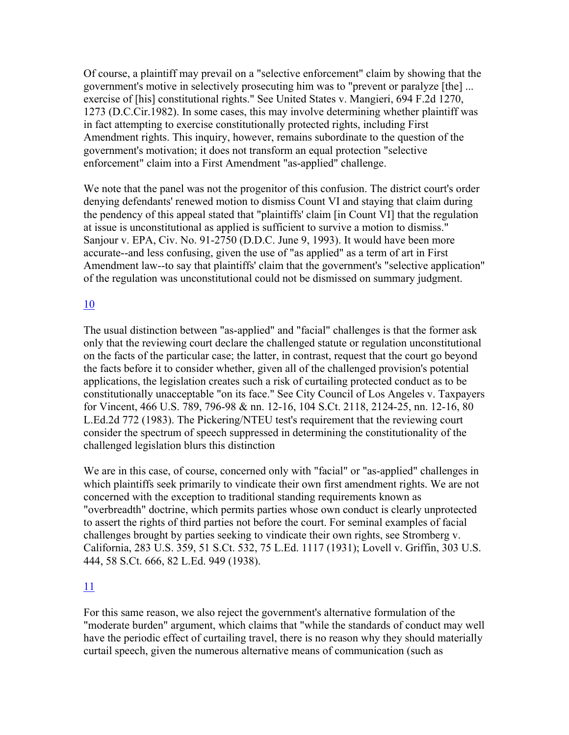Of course, a plaintiff may prevail on a "selective enforcement" claim by showing that the government's motive in selectively prosecuting him was to "prevent or paralyze [the] ... exercise of [his] constitutional rights." See United States v. Mangieri, 694 F.2d 1270, 1273 (D.C.Cir.1982). In some cases, this may involve determining whether plaintiff was in fact attempting to exercise constitutionally protected rights, including First Amendment rights. This inquiry, however, remains subordinate to the question of the government's motivation; it does not transform an equal protection "selective enforcement" claim into a First Amendment "as-applied" challenge.

We note that the panel was not the progenitor of this confusion. The district court's order denying defendants' renewed motion to dismiss Count VI and staying that claim during the pendency of this appeal stated that "plaintiffs' claim [in Count VI] that the regulation at issue is unconstitutional as applied is sufficient to survive a motion to dismiss." Sanjour v. EPA, Civ. No. 91-2750 (D.D.C. June 9, 1993). It would have been more accurate--and less confusing, given the use of "as applied" as a term of art in First Amendment law--to say that plaintiffs' claim that the government's "selective application" of the regulation was unconstitutional could not be dismissed on summary judgment.

## 10

The usual distinction between "as-applied" and "facial" challenges is that the former ask only that the reviewing court declare the challenged statute or regulation unconstitutional on the facts of the particular case; the latter, in contrast, request that the court go beyond the facts before it to consider whether, given all of the challenged provision's potential applications, the legislation creates such a risk of curtailing protected conduct as to be constitutionally unacceptable "on its face." See City Council of Los Angeles v. Taxpayers for Vincent, 466 U.S. 789, 796-98 & nn. 12-16, 104 S.Ct. 2118, 2124-25, nn. 12-16, 80 L.Ed.2d 772 (1983). The Pickering/NTEU test's requirement that the reviewing court consider the spectrum of speech suppressed in determining the constitutionality of the challenged legislation blurs this distinction

We are in this case, of course, concerned only with "facial" or "as-applied" challenges in which plaintiffs seek primarily to vindicate their own first amendment rights. We are not concerned with the exception to traditional standing requirements known as "overbreadth" doctrine, which permits parties whose own conduct is clearly unprotected to assert the rights of third parties not before the court. For seminal examples of facial challenges brought by parties seeking to vindicate their own rights, see Stromberg v. California, 283 U.S. 359, 51 S.Ct. 532, 75 L.Ed. 1117 (1931); Lovell v. Griffin, 303 U.S. 444, 58 S.Ct. 666, 82 L.Ed. 949 (1938).

## 11

For this same reason, we also reject the government's alternative formulation of the "moderate burden" argument, which claims that "while the standards of conduct may well have the periodic effect of curtailing travel, there is no reason why they should materially curtail speech, given the numerous alternative means of communication (such as